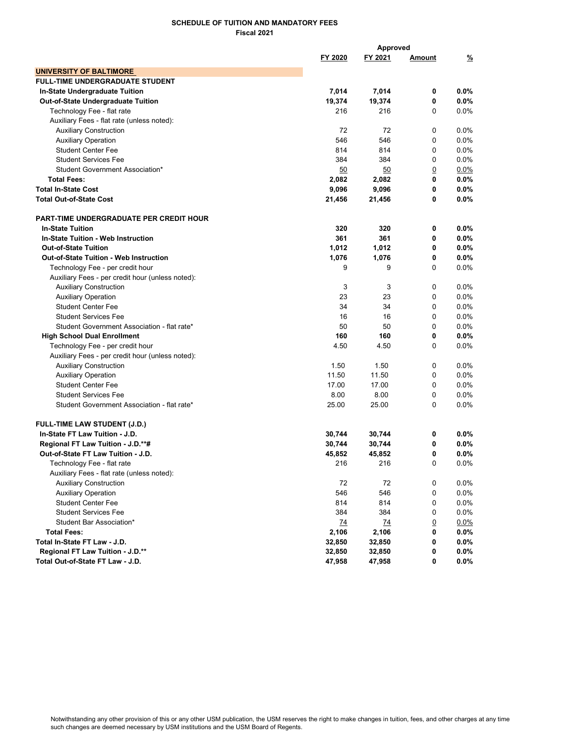## SCHEDULE OF TUITION AND MANDATORY FEES Fiscal 2021

|                                                  | Approved |         |                |         |
|--------------------------------------------------|----------|---------|----------------|---------|
|                                                  | FY 2020  | FY 2021 | <u>Amount</u>  | %       |
| <b>UNIVERSITY OF BALTIMORE</b>                   |          |         |                |         |
| FULL-TIME UNDERGRADUATE STUDENT                  |          |         |                |         |
| In-State Undergraduate Tuition                   | 7,014    | 7,014   | 0              | $0.0\%$ |
| Out-of-State Undergraduate Tuition               | 19,374   | 19,374  | 0              | $0.0\%$ |
| Technology Fee - flat rate                       | 216      | 216     | 0              | $0.0\%$ |
| Auxiliary Fees - flat rate (unless noted):       |          |         |                |         |
| <b>Auxiliary Construction</b>                    | 72       | 72      | 0              | 0.0%    |
| <b>Auxiliary Operation</b>                       | 546      | 546     | 0              | 0.0%    |
| <b>Student Center Fee</b>                        | 814      | 814     | 0              | 0.0%    |
| <b>Student Services Fee</b>                      | 384      | 384     | 0              | 0.0%    |
| Student Government Association*                  | 50       | 50      | $\overline{0}$ | $0.0\%$ |
| <b>Total Fees:</b>                               | 2,082    | 2,082   | 0              | 0.0%    |
| <b>Total In-State Cost</b>                       | 9,096    | 9,096   | 0              | $0.0\%$ |
| <b>Total Out-of-State Cost</b>                   | 21,456   | 21,456  | 0              | 0.0%    |
| <b>PART-TIME UNDERGRADUATE PER CREDIT HOUR</b>   |          |         |                |         |
| <b>In-State Tuition</b>                          | 320      | 320     | 0              | $0.0\%$ |
| <b>In-State Tuition - Web Instruction</b>        | 361      | 361     | 0              | 0.0%    |
| <b>Out-of-State Tuition</b>                      | 1,012    | 1,012   | 0              | 0.0%    |
| <b>Out-of-State Tuition - Web Instruction</b>    | 1,076    | 1,076   | 0              | $0.0\%$ |
| Technology Fee - per credit hour                 | 9        | 9       | $\Omega$       | 0.0%    |
| Auxiliary Fees - per credit hour (unless noted): |          |         |                |         |
| <b>Auxiliary Construction</b>                    | 3        | 3       | $\mathbf 0$    | 0.0%    |
| <b>Auxiliary Operation</b>                       | 23       | 23      | 0              | 0.0%    |
| <b>Student Center Fee</b>                        | 34       | 34      | 0              | 0.0%    |
| <b>Student Services Fee</b>                      | 16       | 16      | $\mathbf 0$    | $0.0\%$ |
| Student Government Association - flat rate*      | 50       | 50      | 0              | $0.0\%$ |
| <b>High School Dual Enrollment</b>               | 160      | 160     | 0              | $0.0\%$ |
| Technology Fee - per credit hour                 | 4.50     | 4.50    | $\Omega$       | $0.0\%$ |
| Auxiliary Fees - per credit hour (unless noted): |          |         |                |         |
| <b>Auxiliary Construction</b>                    | 1.50     | 1.50    | 0              | 0.0%    |
| <b>Auxiliary Operation</b>                       | 11.50    | 11.50   | $\mathbf 0$    | 0.0%    |
| <b>Student Center Fee</b>                        | 17.00    | 17.00   | $\mathbf 0$    | 0.0%    |
| <b>Student Services Fee</b>                      | 8.00     | 8.00    | $\mathbf 0$    | 0.0%    |
| Student Government Association - flat rate*      | 25.00    | 25.00   | 0              | 0.0%    |
| <b>FULL-TIME LAW STUDENT (J.D.)</b>              |          |         |                |         |
| In-State FT Law Tuition - J.D.                   | 30,744   | 30,744  | 0              | 0.0%    |
| Regional FT Law Tuition - J.D.**#                | 30,744   | 30,744  | 0              | 0.0%    |
| Out-of-State FT Law Tuition - J.D.               | 45,852   | 45,852  | 0              | 0.0%    |
| Technology Fee - flat rate                       | 216      | 216     | 0              | 0.0%    |
| Auxiliary Fees - flat rate (unless noted):       |          |         |                |         |
| <b>Auxiliary Construction</b>                    | 72       | 72      | 0              | 0.0%    |
| <b>Auxiliary Operation</b>                       | 546      | 546     | 0              | 0.0%    |
| <b>Student Center Fee</b>                        | 814      | 814     | 0              | 0.0%    |
| <b>Student Services Fee</b>                      | 384      | 384     | 0              | 0.0%    |
| Student Bar Association*                         | 74       | 74      | $\overline{0}$ | 0.0%    |
| <b>Total Fees:</b>                               | 2,106    | 2,106   | 0              | $0.0\%$ |
| Total In-State FT Law - J.D.                     | 32,850   | 32,850  | 0              | $0.0\%$ |
| Regional FT Law Tuition - J.D.**                 | 32,850   | 32,850  | 0              | $0.0\%$ |
| Total Out-of-State FT Law - J.D.                 | 47,958   | 47,958  | 0              | $0.0\%$ |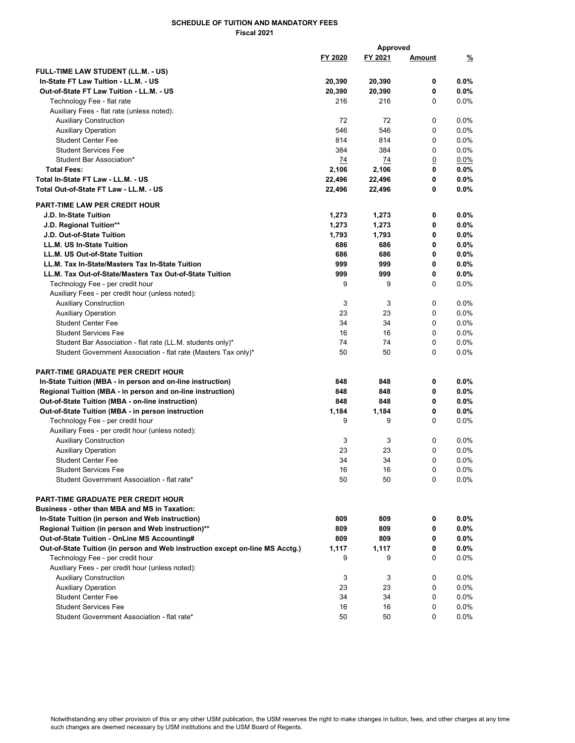## SCHEDULE OF TUITION AND MANDATORY FEES Fiscal 2021

|                                                                                  |               | Approved      |                |                 |
|----------------------------------------------------------------------------------|---------------|---------------|----------------|-----------------|
|                                                                                  | FY 2020       | FY 2021       | <u>Amount</u>  | <u>%</u>        |
|                                                                                  |               |               |                |                 |
| FULL-TIME LAW STUDENT (LL.M. - US)                                               |               |               | 0              |                 |
| In-State FT Law Tuition - LL.M. - US<br>Out-of-State FT Law Tuition - LL.M. - US | 20,390        | 20,390        | 0              | $0.0\%$<br>0.0% |
|                                                                                  | 20,390<br>216 | 20,390<br>216 | 0              |                 |
| Technology Fee - flat rate                                                       |               |               |                | $0.0\%$         |
| Auxiliary Fees - flat rate (unless noted):                                       |               | 72            | 0              |                 |
| <b>Auxiliary Construction</b>                                                    | 72            |               |                | $0.0\%$         |
| <b>Auxiliary Operation</b>                                                       | 546           | 546           | 0              | 0.0%            |
| <b>Student Center Fee</b>                                                        | 814           | 814           | 0              | 0.0%            |
| <b>Student Services Fee</b>                                                      | 384           | 384           | 0              | 0.0%            |
| Student Bar Association*                                                         | 74            | 74            | $\overline{0}$ | $0.0\%$         |
| <b>Total Fees:</b>                                                               | 2,106         | 2,106         | 0              | $0.0\%$         |
| Total In-State FT Law - LL.M. - US                                               | 22,496        | 22,496        | 0              | $0.0\%$         |
| Total Out-of-State FT Law - LL.M. - US                                           | 22,496        | 22,496        | 0              | $0.0\%$         |
| <b>PART-TIME LAW PER CREDIT HOUR</b>                                             |               |               |                |                 |
| J.D. In-State Tuition                                                            | 1,273         | 1,273         | 0              | 0.0%            |
| J.D. Regional Tuition**                                                          | 1,273         | 1,273         | 0              | $0.0\%$         |
| J.D. Out-of-State Tuition                                                        | 1,793         | 1,793         | 0              | $0.0\%$         |
| LL.M. US In-State Tuition                                                        | 686           | 686           | 0              | $0.0\%$         |
| LL.M. US Out-of-State Tuition                                                    | 686           | 686           | 0              | $0.0\%$         |
| LL.M. Tax In-State/Masters Tax In-State Tuition                                  | 999           | 999           | 0              | $0.0\%$         |
| LL.M. Tax Out-of-State/Masters Tax Out-of-State Tuition                          | 999           | 999           | 0              | $0.0\%$         |
| Technology Fee - per credit hour                                                 | 9             | 9             | 0              | 0.0%            |
| Auxiliary Fees - per credit hour (unless noted):                                 |               |               |                |                 |
| <b>Auxiliary Construction</b>                                                    | 3             | 3             | 0              | 0.0%            |
|                                                                                  | 23            | 23            | 0              | 0.0%            |
| <b>Auxiliary Operation</b><br><b>Student Center Fee</b>                          | 34            | 34            | 0              | 0.0%            |
|                                                                                  | 16            | 16            | 0              | 0.0%            |
| <b>Student Services Fee</b>                                                      |               | 74            |                |                 |
| Student Bar Association - flat rate (LL.M. students only)*                       | 74            |               | 0              | 0.0%            |
| Student Government Association - flat rate (Masters Tax only)*                   | 50            | 50            | 0              | 0.0%            |
| <b>PART-TIME GRADUATE PER CREDIT HOUR</b>                                        |               |               |                |                 |
| In-State Tuition (MBA - in person and on-line instruction)                       | 848           | 848           | 0              | $0.0\%$         |
| Regional Tuition (MBA - in person and on-line instruction)                       | 848           | 848           | 0              | 0.0%            |
| Out-of-State Tuition (MBA - on-line instruction)                                 | 848           | 848           | 0              | 0.0%            |
| Out-of-State Tuition (MBA - in person instruction                                | 1,184         | 1,184         | 0              | 0.0%            |
| Technology Fee - per credit hour                                                 | 9             | 9             | 0              | 0.0%            |
| Auxiliary Fees - per credit hour (unless noted):                                 |               |               |                |                 |
| <b>Auxiliary Construction</b>                                                    | 3             | 3             | 0              | 0.0%            |
| <b>Auxiliary Operation</b>                                                       | 23            | 23            | 0              | 0.0%            |
| <b>Student Center Fee</b>                                                        | 34            | 34            | 0              | 0.0%            |
| <b>Student Services Fee</b>                                                      | 16            | 16            | 0              | 0.0%            |
| Student Government Association - flat rate*                                      | 50            | 50            | 0              | $0.0\%$         |
| <b>PART-TIME GRADUATE PER CREDIT HOUR</b>                                        |               |               |                |                 |
| <b>Business - other than MBA and MS in Taxation:</b>                             |               |               |                |                 |
| In-State Tuition (in person and Web instruction)                                 | 809           | 809           | 0              | $0.0\%$         |
| Regional Tuition (in person and Web instruction)**                               | 809           | 809           | 0              | $0.0\%$         |
| Out-of-State Tuition - OnLine MS Accounting#                                     | 809           | 809           | 0              | $0.0\%$         |
| Out-of-State Tuition (in person and Web instruction except on-line MS Acctg.)    | 1,117         | 1,117         | 0              | 0.0%            |
| Technology Fee - per credit hour                                                 | 9             | 9             | 0              | $0.0\%$         |
|                                                                                  |               |               |                |                 |
| Auxiliary Fees - per credit hour (unless noted):                                 |               |               |                |                 |
| <b>Auxiliary Construction</b>                                                    | 3             | 3             | 0              | $0.0\%$         |
| <b>Auxiliary Operation</b>                                                       | 23            | 23            | 0              | $0.0\%$         |
| <b>Student Center Fee</b>                                                        | 34            | 34            | 0              | 0.0%            |
| <b>Student Services Fee</b>                                                      | 16            | 16            | 0              | 0.0%            |
| Student Government Association - flat rate*                                      | 50            | 50            | 0              | 0.0%            |